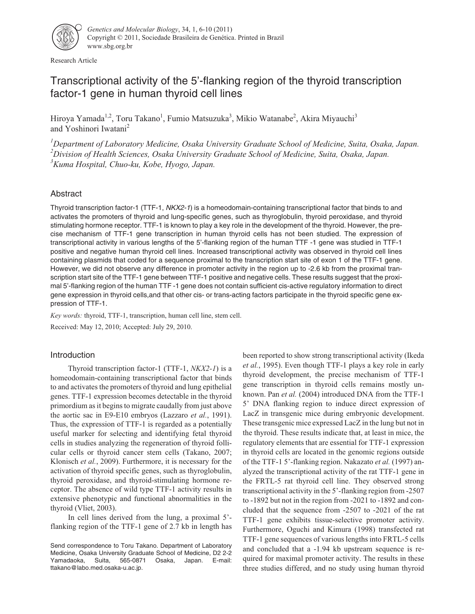

Research Article

# Transcriptional activity of the 5'-flanking region of the thyroid transcription factor-1 gene in human thyroid cell lines

Hiroya Yamada<sup>1,2</sup>, Toru Takano<sup>1</sup>, Fumio Matsuzuka<sup>3</sup>, Mikio Watanabe<sup>2</sup>, Akira Miyauchi<sup>3</sup> and Yoshinori Iwatani<sup>2</sup>

*1 Department of Laboratory Medicine, Osaka University Graduate School of Medicine, Suita, Osaka, Japan. 2 Division of Health Sciences, Osaka University Graduate School of Medicine, Suita, Osaka, Japan. 3 Kuma Hospital, Chuo-ku, Kobe, Hyogo, Japan.*

# Abstract

Thyroid transcription factor-1 (TTF-1, NKX2-1) is a homeodomain-containing transcriptional factor that binds to and activates the promoters of thyroid and lung-specific genes, such as thyroglobulin, thyroid peroxidase, and thyroid stimulating hormone receptor. TTF-1 is known to play a key role in the development of the thyroid. However, the precise mechanism of TTF-1 gene transcription in human thyroid cells has not been studied. The expression of transcriptional activity in various lengths of the 5'-flanking region of the human TTF -1 gene was studied in TTF-1 positive and negative human thyroid cell lines. Increased transcriptional activity was observed in thyroid cell lines containing plasmids that coded for a sequence proximal to the transcription start site of exon 1 of the TTF-1 gene. However, we did not observe any difference in promoter activity in the region up to -2.6 kb from the proximal transcription start site of the TTF-1 gene between TTF-1 positive and negative cells. These results suggest that the proximal 5'-flanking region of the human TTF -1 gene does not contain sufficient cis-active regulatory information to direct gene expression in thyroid cells,and that other cis- or trans-acting factors participate in the thyroid specific gene expression of TTF-1.

*Key words:* thyroid, TTF-1, transcription, human cell line, stem cell.

Received: May 12, 2010; Accepted: July 29, 2010.

# Introduction

Thyroid transcription factor-1 (TTF-1, *NKX2-1*) is a homeodomain-containing transcriptional factor that binds to and activates the promoters of thyroid and lung epithelial genes. TTF-1 expression becomes detectable in the thyroid primordium as it begins to migrate caudally from just above the aortic sac in E9-E10 embryos (Lazzaro *et al.*, 1991). Thus, the expression of TTF-1 is regarded as a potentially useful marker for selecting and identifying fetal thyroid cells in studies analyzing the regeneration of thyroid follicular cells or thyroid cancer stem cells (Takano, 2007; Klonisch *et al.*, 2009). Furthermore, it is necessary for the activation of thyroid specific genes, such as thyroglobulin, thyroid peroxidase, and thyroid-stimulating hormone receptor. The absence of wild type TTF-1 activity results in extensive phenotypic and functional abnormalities in the thyroid (Vliet, 2003).

In cell lines derived from the lung, a proximal 5' flanking region of the TTF-1 gene of 2.7 kb in length has

Send correspondence to Toru Takano. Department of Laboratory Medicine, Osaka University Graduate School of Medicine, D2 2-2 Yamadaoka, Suita, 565-0871 Osaka, Japan. E-mail: ttakano@labo.med.osaka-u.ac.jp.

been reported to show strong transcriptional activity (Ikeda *et al.*, 1995). Even though TTF-1 plays a key role in early thyroid development, the precise mechanism of TTF-1 gene transcription in thyroid cells remains mostly unknown. Pan *et al.* (2004) introduced DNA from the TTF-1 5' DNA flanking region to induce direct expression of LacZ in transgenic mice during embryonic development. These transgenic mice expressed LacZ in the lung but not in the thyroid. These results indicate that, at least in mice, the regulatory elements that are essential for TTF-1 expression in thyroid cells are located in the genomic regions outside of the TTF-1 5'-flanking region. Nakazato *et al.* (1997) analyzed the transcriptional activity of the rat TTF-1 gene in the FRTL-5 rat thyroid cell line. They observed strong transcriptional activity in the 5'-flanking region from -2507 to -1892 but not in the region from -2021 to -1892 and concluded that the sequence from -2507 to -2021 of the rat TTF-1 gene exhibits tissue-selective promoter activity. Furthermore, Oguchi and Kimura (1998) transfected rat TTF-1 gene sequences of various lengths into FRTL-5 cells and concluded that a -1.94 kb upstream sequence is required for maximal promoter activity. The results in these three studies differed, and no study using human thyroid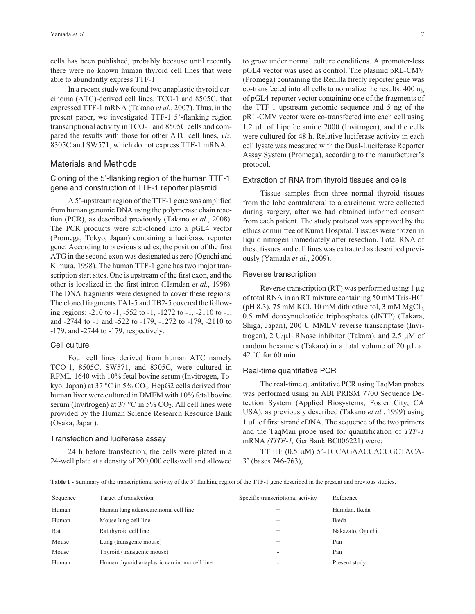cells has been published, probably because until recently there were no known human thyroid cell lines that were able to abundantly express TTF-1.

In a recent study we found two anaplastic thyroid carcinoma (ATC)-derived cell lines, TCO-1 and 8505C, that expressed TTF-1 mRNA (Takano *et al.*, 2007). Thus, in the present paper, we investigated TTF-1 5'-flanking region transcriptional activity in TCO-1 and 8505C cells and compared the results with those for other ATC cell lines, *viz.* 8305C and SW571, which do not express TTF-1 mRNA.

## Materials and Methods

# Cloning of the 5'-flanking region of the human TTF-1 gene and construction of TTF-1 reporter plasmid

A 5'-upstream region of the TTF-1 gene was amplified from human genomic DNA using the polymerase chain reaction (PCR), as described previously (Takano *et al.*, 2008). The PCR products were sub-cloned into a pGL4 vector (Promega, Tokyo, Japan) containing a luciferase reporter gene. According to previous studies, the position of the first ATG in the second exon was designated as zero (Oguchi and Kimura, 1998). The human TTF-1 gene has two major transcription start sites. One is upstream of the first exon, and the other is localized in the first intron (Hamdan *et al.*, 1998). The DNA fragments were designed to cover these regions. The cloned fragments TA1-5 and TB2-5 covered the following regions: -210 to -1, -552 to -1, -1272 to -1, -2110 to -1, and -2744 to -1 and -522 to -179, -1272 to -179, -2110 to -179, and -2744 to -179, respectively.

#### Cell culture

Four cell lines derived from human ATC namely TCO-1, 8505C, SW571, and 8305C, were cultured in RPML-1640 with 10% fetal bovine serum (Invitrogen, Tokyo, Japan) at 37 °C in 5%  $CO<sub>2</sub>$ . HepG2 cells derived from human liver were cultured in DMEM with 10% fetal bovine serum (Invitrogen) at 37 °C in 5%  $CO<sub>2</sub>$ . All cell lines were provided by the Human Science Research Resource Bank (Osaka, Japan).

## Transfection and luciferase assay

24 h before transfection, the cells were plated in a 24-well plate at a density of 200,000 cells/well and allowed to grow under normal culture conditions. A promoter-less pGL4 vector was used as control. The plasmid pRL-CMV (Promega) containing the Renilla firefly reporter gene was co-transfected into all cells to normalize the results. 400 ng of pGL4-reporter vector containing one of the fragments of the TTF-1 upstream genomic sequence and 5 ng of the pRL-CMV vector were co-transfected into each cell using  $1.2 \mu L$  of Lipofectamine 2000 (Invitrogen), and the cells were cultured for 48 h. Relative luciferase activity in each cell lysate was measured with the Dual-Luciferase Reporter Assay System (Promega), according to the manufacturer's protocol.

#### Extraction of RNA from thyroid tissues and cells

Tissue samples from three normal thyroid tissues from the lobe contralateral to a carcinoma were collected during surgery, after we had obtained informed consent from each patient. The study protocol was approved by the ethics committee of Kuma Hospital. Tissues were frozen in liquid nitrogen immediately after resection. Total RNA of these tissues and cell lines was extracted as described previously (Yamada *et al.*, 2009).

#### Reverse transcription

Reverse transcription (RT) was performed using 1 µg of total RNA in an RT mixture containing 50 mM Tris-HCl (pH 8.3), 75 mM KCl, 10 mM dithiothreitol, 3 mM  $MgCl<sub>2</sub>$ , 0.5 mM deoxynucleotide triphosphates (dNTP) (Takara, Shiga, Japan), 200 U MMLV reverse transcriptase (Invitrogen),  $2 U/\mu L$  RNase inhibitor (Takara), and  $2.5 \mu M$  of random hexamers (Takara) in a total volume of 20  $\mu$ L at 42  $\degree$ C for 60 min.

#### Real-time quantitative PCR

The real-time quantitative PCR using TaqMan probes was performed using an ABI PRISM 7700 Sequence Detection System (Applied Biosystems, Foster City, CA USA), as previously described (Takano *et al.*, 1999) using 1 µL of first strand cDNA. The sequence of the two primers and the TaqMan probe used for quantification of *TTF-1* mRNA *(TITF-1,* GenBank BC006221) were:

TTF1F (0.5 µM) 5'-TCCAGAACCACCGCTACA-3' (bases 746-763),

**Table 1** - Summary of the transcriptional activity of the 5' flanking region of the TTF-1 gene described in the present and previous studies.

| Sequence | Target of transfection                       | Specific transcriptional activity | Reference        |
|----------|----------------------------------------------|-----------------------------------|------------------|
| Human    | Human lung adenocarcinoma cell line          | +                                 | Hamdan, Ikeda    |
| Human    | Mouse lung cell line                         |                                   | Ikeda            |
| Rat      | Rat thyroid cell line                        |                                   | Nakazato, Oguchi |
| Mouse    | Lung (transgenic mouse)                      |                                   | Pan              |
| Mouse    | Thyroid (transgenic mouse)                   | $\overline{\phantom{a}}$          | Pan              |
| Human    | Human thyroid anaplastic carcinoma cell line | -                                 | Present study    |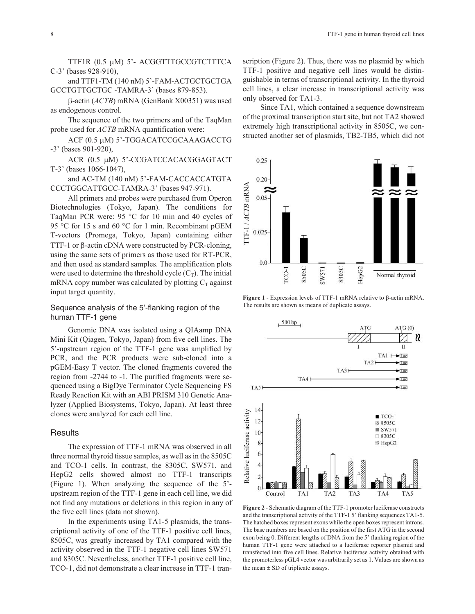TTF1R (0.5 µM) 5'- ACGGTTTGCCGTCTTTCA C-3' (bases 928-910),

and TTF1-TM (140 nM) 5'-FAM-ACTGCTGCTGA GCCTGTTGCTGC -TAMRA-3' (bases 879-853).

-actin (*ACTB*) mRNA (GenBank X00351) was used as endogenous control.

The sequence of the two primers and of the TaqMan probe used for *ACTB* mRNA quantification were:

ACF (0.5 μM) 5'-TGGACATCCGCAAAGACCTG -3' (bases 901-920),

ACR (0.5 µM) 5'-CCGATCCACACGGAGTACT T-3' (bases 1066-1047),

and AC-TM (140 nM) 5'-FAM-CACCACCATGTA CCCTGGCATTGCC-TAMRA-3' (bases 947-971).

All primers and probes were purchased from Operon Biotechnologies (Tokyo, Japan). The conditions for TaqMan PCR were: 95 °C for 10 min and 40 cycles of 95 °C for 15 s and 60 °C for 1 min. Recombinant pGEM T-vectors (Promega, Tokyo, Japan) containing either TTF-1 or  $\beta$ -actin cDNA were constructed by PCR-cloning, using the same sets of primers as those used for RT-PCR, and then used as standard samples. The amplification plots were used to determine the threshold cycle  $(C_T)$ . The initial mRNA copy number was calculated by plotting  $C_T$  against input target quantity.

## Sequence analysis of the 5'-flanking region of the human TTF-1 gene

Genomic DNA was isolated using a QIAamp DNA Mini Kit (Qiagen, Tokyo, Japan) from five cell lines. The 5'-upstream region of the TTF-1 gene was amplified by PCR, and the PCR products were sub-cloned into a pGEM-Easy T vector. The cloned fragments covered the region from -2744 to -1. The purified fragments were sequenced using a BigDye Terminator Cycle Sequencing FS Ready Reaction Kit with an ABI PRISM 310 Genetic Analyzer (Applied Biosystems, Tokyo, Japan). At least three clones were analyzed for each cell line.

#### **Results**

The expression of TTF-1 mRNA was observed in all three normal thyroid tissue samples, as well as in the 8505C and TCO-1 cells. In contrast, the 8305C, SW571, and HepG2 cells showed almost no TTF-1 transcripts (Figure 1). When analyzing the sequence of the 5' upstream region of the TTF-1 gene in each cell line, we did not find any mutations or deletions in this region in any of the five cell lines (data not shown).

In the experiments using TA1-5 plasmids, the transcriptional activity of one of the TTF-1 positive cell lines, 8505C, was greatly increased by TA1 compared with the activity observed in the TTF-1 negative cell lines SW571 and 8305C. Nevertheless, another TTF-1 positive cell line, TCO-1, did not demonstrate a clear increase in TTF-1 transcription (Figure 2). Thus, there was no plasmid by which TTF-1 positive and negative cell lines would be distinguishable in terms of transcriptional activity. In the thyroid cell lines, a clear increase in transcriptional activity was only observed for TA1-3.

Since TA1, which contained a sequence downstream of the proximal transcription start site, but not TA2 showed extremely high transcriptional activity in 8505C, we constructed another set of plasmids, TB2-TB5, which did not



**Figure 1** - Expression levels of TTF-1 mRNA relative to  $\beta$ -actin mRNA. The results are shown as means of duplicate assays.



**Figure 2** - Schematic diagram of the TTF-1 promoter luciferase constructs and the transcriptional activity of the TTF-1 5' flanking sequences TA1-5. The hatched boxes represent exons while the open boxes represent introns. The base numbers are based on the position of the first ATG in the second exon being 0. Different lengths of DNA from the 5' flanking region of the human TTF-1 gene were attached to a luciferase reporter plasmid and transfected into five cell lines. Relative luciferase activity obtained with the promoterless pGL4 vector was arbitrarily set as 1. Values are shown as the mean  $\pm$  SD of triplicate assays.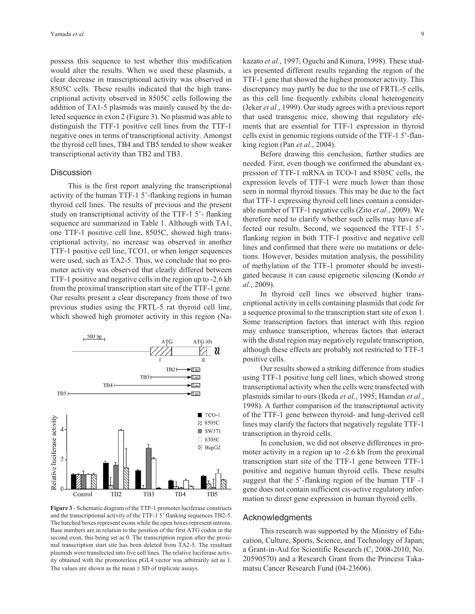possess this sequence to test whether this modification would alter the results. When we used these plasmids, a clear decrease in transcriptional activity was observed in 8505C cells. These results indicated that the high transcriptional activity observed in 8505C cells following the addition of TA1-5 plasmids was mainly caused by the deleted sequence in exon 2 (Figure 3). No plasmid was able to distinguish the TTF-1 positive cell lines from the TTF-1 negative ones in terms of transcriptional activity. Amongst the thyroid cell lines, TB4 and TB5 tended to show weaker transcriptional activity than TB2 and TB3.

#### **Discussion**

This is the first report analyzing the transcriptional activity of the human TTF-1 5'-flanking regions in human thyroid cell lines. The results of previous and the present study on transcriptional activity of the TTF-1 5'- flanking sequence are summarized in Table 1. Although with TA1, one TTF-1 positive cell line, 8505C, showed high transcriptional activity, no increase was observed in another TTF-1 positive cell line, TCO1, or when longer sequences were used, such as TA2-5. Thus, we conclude that no promoter activity was observed that clearly differed between TTF-1 positive and negative cells in the region up to -2.6 kb from the proximal transcription start site of the TTF-1 gene. Our results present a clear discrepancy from those of two previous studies using the FRTL-5 rat thyroid cell line, which showed high promoter activity in this region (Na-



**Figure 3** - Schematic diagram of the TTF-1 promoter luciferase constructs and the transcriptional activity of the TTF-1 5' flanking sequences TB2-5. The hatched boxes represent exons while the open boxes represent introns. Base numbers are in relation to the position of the first ATG codon in the second exon, this being set as 0. The transcription region after the proximal transcription start site has been deleted from TA2-5. The resultant plasmids were transfected into five cell lines. The relative luciferase activity obtained with the promoterless pGL4 vector was arbitrarily set as 1. The values are shown as the mean  $\pm$  SD of triplicate assays.

kazato *et al.*, 1997; Oguchi and Kimura, 1998). These studies presented different results regarding the region of the TTF-1 gene that showed the highest promoter activity. This discrepancy may partly be due to the use of FRTL-5 cells, as this cell line frequently exhibits clonal heterogeneity (Jeker *et al.*, 1999). Our study agrees with a previous report that used transgenic mice, showing that regulatory elements that are essential for TTF-1 expression in thyroid cells exist in genomic regions outside of the TTF-1 5'-flanking region (Pan *et al.*, 2004).

Before drawing this conclusion, further studies are needed. First, even though we confirmed the abundant expression of TTF-1 mRNA in TCO-1 and 8505C cells, the expression levels of TTF-1 were much lower than those seen in normal thyroid tissues. This may be due to the fact that TTF-1 expressing thyroid cell lines contain a considerable number of TTF-1 negative cells (Zito *et al.*, 2009). We therefore need to clarify whether such cells may have affected our results. Second, we sequenced the TTF-1 5' flanking region in both TTF-1 positive and negative cell lines and confirmed that there were no mutations or deletions. However, besides mutation analysis, the possibility of methylation of the TTF-1 promoter should be investigated because it can cause epigenetic silencing (Kondo *et al.*, 2009).

In thyroid cell lines we observed higher transcriptional activity in cells containing plasmids that code for a sequence proximal to the transcription start site of exon 1. Some transcription factors that interact with this region may enhance transcription, whereas factors that interact with the distal region may negatively regulate transcription, although these effects are probably not restricted to TTF-1 positive cells.

Our results showed a striking difference from studies using TTF-1 positive lung cell lines, which showed strong transcriptional activity when the cells were transfected with plasmids similar to ours (Ikeda *et al.*, 1995; Hamdan *et al.*, 1998). A further comparison of the transcriptional activity of the TTF-1 gene between thyroid- and lung-derived cell lines may clarify the factors that negatively regulate TTF-1 transcription in thyroid cells.

In conclusion, we did not observe differences in promoter activity in a region up to -2.6 kb from the proximal transcription start site of the TTF-1 gene between TTF-1 positive and negative human thyroid cells. These results suggest that the 5'-flanking region of the human TTF -1 gene does not contain sufficient cis-active regulatory information to direct gene expression in human thyroid cells.

#### Acknowledgments

This research was supported by the Ministry of Education, Culture, Sports, Science, and Technology of Japan; a Grant-in-Aid for Scientific Research (C, 2008-2010, No. 20590570) and a Research Grant from the Princess Takamatsu Cancer Research Fund (04-23606).